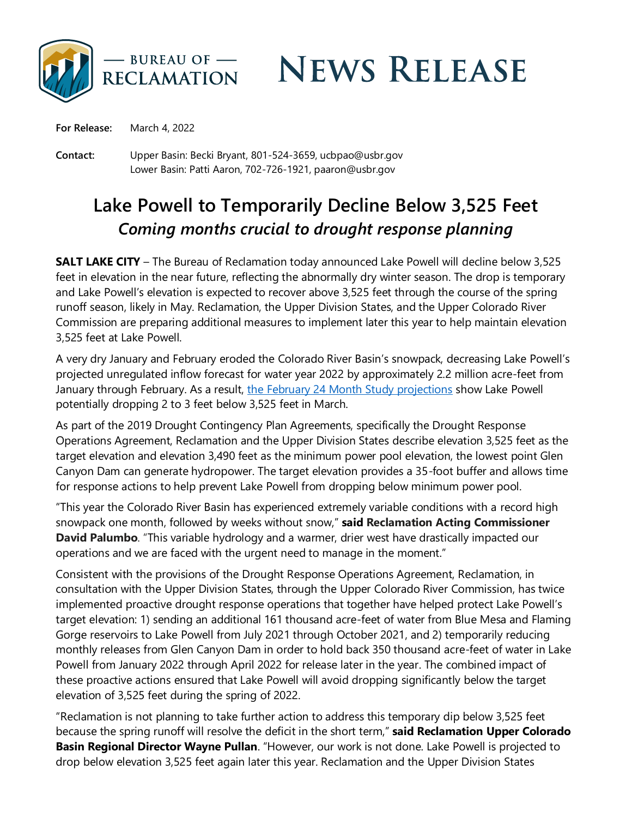

**NEWS RELEASE** 

**For Release:** March 4, 2022

**Contact:** Upper Basin: Becki Bryant, 801-524-3659, ucbpao@usbr.gov Lower Basin: Patti Aaron, 702-726-1921, paaron@usbr.gov

## **Lake Powell to Temporarily Decline Below 3,525 Feet**  *Coming months crucial to drought response planning*

**SALT LAKE CITY** – The Bureau of Reclamation today announced Lake Powell will decline below 3,525 feet in elevation in the near future, reflecting the abnormally dry winter season. The drop is temporary and Lake Powell's elevation is expected to recover above 3,525 feet through the course of the spring runoff season, likely in May. Reclamation, the Upper Division States, and the Upper Colorado River Commission are preparing additional measures to implement later this year to help maintain elevation 3,525 feet at Lake Powell.

A very dry January and February eroded the Colorado River Basin's snowpack, decreasing Lake Powell's projected unregulated inflow forecast for water year 2022 by approximately 2.2 million acre-feet from January through February. As a result, [the February 24 Month Study projections](https://www.usbr.gov/lc/region/g4000/riverops/24ms-projections.html) show Lake Powell potentially dropping 2 to 3 feet below 3,525 feet in March.

As part of the 2019 Drought Contingency Plan Agreements, specifically the Drought Response Operations Agreement, Reclamation and the Upper Division States describe elevation 3,525 feet as the target elevation and elevation 3,490 feet as the minimum power pool elevation, the lowest point Glen Canyon Dam can generate hydropower. The target elevation provides a 35-foot buffer and allows time for response actions to help prevent Lake Powell from dropping below minimum power pool.

"This year the Colorado River Basin has experienced extremely variable conditions with a record high snowpack one month, followed by weeks without snow," **said Reclamation Acting Commissioner David Palumbo**. "This variable hydrology and a warmer, drier west have drastically impacted our operations and we are faced with the urgent need to manage in the moment."

Consistent with the provisions of the Drought Response Operations Agreement, Reclamation, in consultation with the Upper Division States, through the Upper Colorado River Commission, has twice implemented proactive drought response operations that together have helped protect Lake Powell's target elevation: 1) sending an additional 161 thousand acre-feet of water from Blue Mesa and Flaming Gorge reservoirs to Lake Powell from July 2021 through October 2021, and 2) temporarily reducing monthly releases from Glen Canyon Dam in order to hold back 350 thousand acre-feet of water in Lake Powell from January 2022 through April 2022 for release later in the year. The combined impact of these proactive actions ensured that Lake Powell will avoid dropping significantly below the target elevation of 3,525 feet during the spring of 2022.

"Reclamation is not planning to take further action to address this temporary dip below 3,525 feet because the spring runoff will resolve the deficit in the short term," **said Reclamation Upper Colorado Basin Regional Director Wayne Pullan**. "However, our work is not done. Lake Powell is projected to drop below elevation 3,525 feet again later this year. Reclamation and the Upper Division States